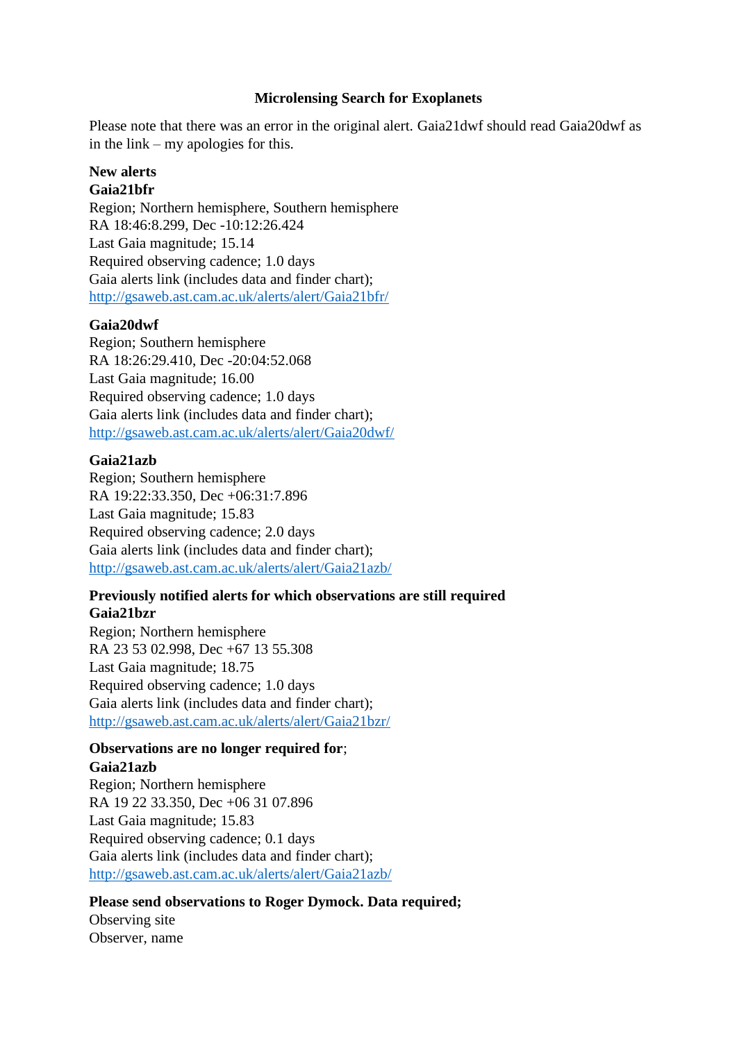### **Microlensing Search for Exoplanets**

Please note that there was an error in the original alert. Gaia21dwf should read Gaia20dwf as in the link – my apologies for this.

# **New alerts**

### **Gaia21bfr**

Region; Northern hemisphere, Southern hemisphere RA 18:46:8.299, Dec -10:12:26.424 Last Gaia magnitude; 15.14 Required observing cadence; 1.0 days Gaia alerts link (includes data and finder chart); <http://gsaweb.ast.cam.ac.uk/alerts/alert/Gaia21bfr/>

#### **Gaia20dwf**

Region; Southern hemisphere RA 18:26:29.410, Dec -20:04:52.068 Last Gaia magnitude; 16.00 Required observing cadence; 1.0 days Gaia alerts link (includes data and finder chart); <http://gsaweb.ast.cam.ac.uk/alerts/alert/Gaia20dwf/>

#### **Gaia21azb**

Region; Southern hemisphere RA 19:22:33.350, Dec +06:31:7.896 Last Gaia magnitude; 15.83 Required observing cadence; 2.0 days Gaia alerts link (includes data and finder chart); <http://gsaweb.ast.cam.ac.uk/alerts/alert/Gaia21azb/>

## **Previously notified alerts for which observations are still required Gaia21bzr**

Region; Northern hemisphere RA 23 53 02.998, Dec +67 13 55.308 Last Gaia magnitude; 18.75 Required observing cadence; 1.0 days Gaia alerts link (includes data and finder chart); <http://gsaweb.ast.cam.ac.uk/alerts/alert/Gaia21bzr/>

#### **Observations are no longer required for**; **Gaia21azb**

Region; Northern hemisphere RA 19 22 33.350, Dec +06 31 07.896 Last Gaia magnitude; 15.83 Required observing cadence; 0.1 days Gaia alerts link (includes data and finder chart); <http://gsaweb.ast.cam.ac.uk/alerts/alert/Gaia21azb/>

# **Please send observations to Roger Dymock. Data required;**

Observing site Observer, name